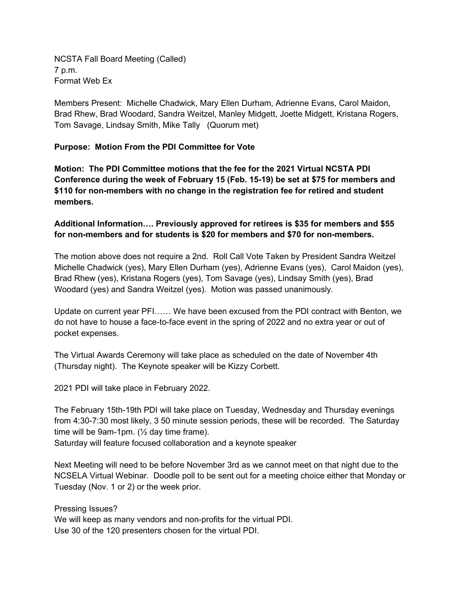NCSTA Fall Board Meeting (Called) 7 p.m. Format Web Ex

Members Present: Michelle Chadwick, Mary Ellen Durham, Adrienne Evans, Carol Maidon, Brad Rhew, Brad Woodard, Sandra Weitzel, Manley Midgett, Joette Midgett, Kristana Rogers, Tom Savage, Lindsay Smith, Mike Tally (Quorum met)

## **Purpose: Motion From the PDI Committee for Vote**

**Motion: The PDI Committee motions that the fee for the 2021 Virtual NCSTA PDI Conference during the week of February 15 (Feb. 15-19) be set at \$75 for members and \$110 for non-members with no change in the registration fee for retired and student members.**

## **Additional Information…. Previously approved for retirees is \$35 for members and \$55 for non-members and for students is \$20 for members and \$70 for non-members.**

The motion above does not require a 2nd. Roll Call Vote Taken by President Sandra Weitzel Michelle Chadwick (yes), Mary Ellen Durham (yes), Adrienne Evans (yes), Carol Maidon (yes), Brad Rhew (yes), Kristana Rogers (yes), Tom Savage (yes), Lindsay Smith (yes), Brad Woodard (yes) and Sandra Weitzel (yes). Motion was passed unanimously.

Update on current year PFI…… We have been excused from the PDI contract with Benton, we do not have to house a face-to-face event in the spring of 2022 and no extra year or out of pocket expenses.

The Virtual Awards Ceremony will take place as scheduled on the date of November 4th (Thursday night). The Keynote speaker will be Kizzy Corbett.

2021 PDI will take place in February 2022.

The February 15th-19th PDI will take place on Tuesday, Wednesday and Thursday evenings from 4:30-7:30 most likely, 3 50 minute session periods, these will be recorded. The Saturday time will be 9am-1pm. (½ day time frame).

Saturday will feature focused collaboration and a keynote speaker

Next Meeting will need to be before November 3rd as we cannot meet on that night due to the NCSELA Virtual Webinar. Doodle poll to be sent out for a meeting choice either that Monday or Tuesday (Nov. 1 or 2) or the week prior.

Pressing Issues?

We will keep as many vendors and non-profits for the virtual PDI. Use 30 of the 120 presenters chosen for the virtual PDI.